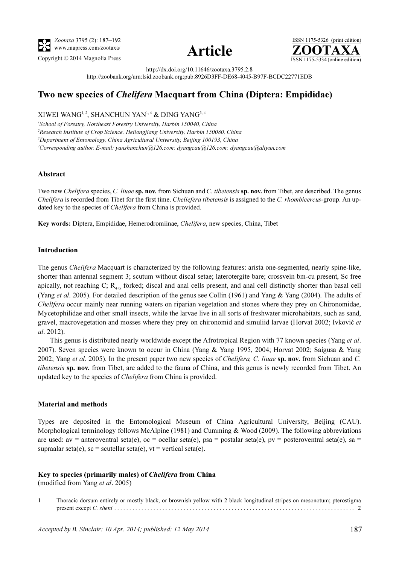



ISSN 1175-5326 (print edition)<br> $\overline{{\bf ZOOTAXA}}$ Copyright © 2014 Magnolia Press ISSN 1175-5334 (online edition)

http://dx.doi.org/10.11646/zootaxa.3795.2.8

http://zoobank.org/urn:lsid:zoobank.org:pub:8926D3FF-DE68-4045-B97F-BCDC22771EDB

# Two new species of Chelifera Macquart from China (Diptera: Empididae)

XIWEI WANG<sup>1, 2</sup>, SHANCHUN YAN<sup>1, 4</sup> & DING YANG<sup>3, 4</sup>

<sup>1</sup>School of Forestry, Northeast Forestry University, Harbin 150040, China <sup>2</sup>Research Institute of Crop Science, Heilongjiang University, Harbin 150080, China <sup>3</sup>Department of Entomology, China Agricultural University, Beijing 100193, China 4 Corresponding author. E-mail: yanshanchun@126.com; dyangcau@126.com; dyangcau@aliyun.com

#### Abstract

Two new Chelifera species, C. liuae sp. nov. from Sichuan and C. tibetensis sp. nov. from Tibet, are described. The genus Chelifera is recorded from Tibet for the first time. Cheliefera tibetensis is assigned to the C. rhombicercus-group. An updated key to the species of Chelifera from China is provided.

Key words: Diptera, Empididae, Hemerodromiinae, Chelifera, new species, China, Tibet

#### Introduction

The genus *Chelifera* Macquart is characterized by the following features: arista one-segmented, nearly spine-like, shorter than antennal segment 3; scutum without discal setae; laterotergite bare; crossvein bm-cu present, Sc free apically, not reaching C;  $R_{4+5}$  forked; discal and anal cells present, and anal cell distinctly shorter than basal cell (Yang et al. 2005). For detailed description of the genus see Collin (1961) and Yang & Yang (2004). The adults of Chelifera occur mainly near running waters on riparian vegetation and stones where they prey on Chironomidae, Mycetophilidae and other small insects, while the larvae live in all sorts of freshwater microhabitats, such as sand, gravel, macrovegetation and mosses where they prey on chironomid and simuliid larvae (Horvat 2002; Ivković et al. 2012).

This genus is distributed nearly worldwide except the Afrotropical Region with 77 known species (Yang et al. 2007). Seven species were known to occur in China (Yang & Yang 1995, 2004; Horvat 2002; Saigusa & Yang 2002; Yang et al. 2005). In the present paper two new species of *Chelifera, C. liuae* sp. nov. from Sichuan and C. tibetensis sp. nov. from Tibet, are added to the fauna of China, and this genus is newly recorded from Tibet. An updated key to the species of Chelifera from China is provided.

#### Material and methods

Types are deposited in the Entomological Museum of China Agricultural University, Beijing (CAU). Morphological terminology follows McAlpine (1981) and Cumming & Wood (2009). The following abbreviations are used:  $av =$  anteroventral seta(e),  $oc =$  ocellar seta(e),  $psa =$  postalar seta(e),  $pv =$  posteroventral seta(e), sa = supraalar seta(e), sc = scutellar seta(e), vt = vertical seta(e).

## Key to species (primarily males) of Chelifera from China

(modified from Yang et al. 2005)

1 Thoracic dorsum entirely or mostly black, or brownish yellow with 2 black longitudinal stripes on mesonotum; pterostigma present except C. sheni . . . . . . . . . . . . . . . . . . . . . . . . . . . . . . . . . . . . . . . . . . . . . . . . . . . . . . . . . . . . . . . . . . . . . . . . . . . . . . . . 2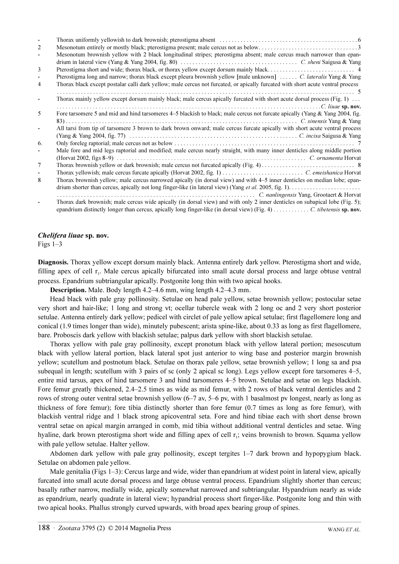| 2  |                                                                                                                                 |
|----|---------------------------------------------------------------------------------------------------------------------------------|
|    | Mesonotum brownish yellow with 2 black longitudinal stripes; pterostigma absent; male cercus much narrower than epan-           |
|    |                                                                                                                                 |
| 3  |                                                                                                                                 |
|    | Pterostigma long and narrow; thorax black except pleura brownish yellow [male unknown]  C. lateralis Yang & Yang                |
| 4  | Thorax black except postalar calli dark yellow; male cercus not furcated, or apically furcated with short acute ventral process |
|    |                                                                                                                                 |
|    | Thorax mainly yellow except dorsum mainly black; male cercus apically furcated with short acute dorsal process (Fig. 1)         |
|    |                                                                                                                                 |
| 5  | Fore tarsomere 5 and mid and hind tarsomeres 4–5 blackish to black; male cercus not furcate apically (Yang & Yang 2004, fig.    |
|    |                                                                                                                                 |
|    | All tarsi from tip of tarsomere 3 brown to dark brown onward; male cercus furcate apically with short acute ventral process     |
|    |                                                                                                                                 |
| 6. |                                                                                                                                 |
|    | Male fore and mid legs raptorial and modified; male cercus nearly straight, with many inner denticles along middle portion      |
|    |                                                                                                                                 |
| 7  |                                                                                                                                 |
|    |                                                                                                                                 |
| 8  | Thorax brownish yellow; male cercus narrowed apically (in dorsal view) and with 4–5 inner denticles on median lobe; epan-       |
|    |                                                                                                                                 |
|    | C. nanlingensis Yang, Grootaert & Horvat                                                                                        |
|    | Thorax dark brownish; male cercus wide apically (in dorsal view) and with only 2 inner denticles on subapical lobe (Fig. 5);    |

## Chelifera liuae sp. nov.

Figs 1–3

Diagnosis. Thorax yellow except dorsum mainly black. Antenna entirely dark yellow. Pterostigma short and wide, filling apex of cell  $r_1$ . Male cercus apically bifurcated into small acute dorsal process and large obtuse ventral process. Epandrium subtriangular apically. Postgonite long thin with two apical hooks.

Description. Male. Body length 4.2–4.6 mm, wing length 4.2–4.3 mm.

Head black with pale gray pollinosity. Setulae on head pale yellow, setae brownish yellow; postocular setae very short and hair-like; 1 long and strong vt; ocellar tubercle weak with 2 long oc and 2 very short posterior setulae. Antenna entirely dark yellow; pedicel with circlet of pale yellow apical setulae; first flagellomere long and conical (1.9 times longer than wide), minutely pubescent; arista spine-like, about 0.33 as long as first flagellomere, bare. Proboscis dark yellow with blackish setulae; palpus dark yellow with short blackish setulae.

Thorax yellow with pale gray pollinosity, except pronotum black with yellow lateral portion; mesoscutum black with yellow lateral portion, black lateral spot just anterior to wing base and posterior margin brownish yellow; scutellum and postnotum black. Setulae on thorax pale yellow, setae brownish yellow; 1 long sa and psa subequal in length; scutellum with 3 pairs of sc (only 2 apical sc long). Legs yellow except fore tarsomeres 4–5, entire mid tarsus, apex of hind tarsomere 3 and hind tarsomeres 4–5 brown. Setulae and setae on legs blackish. Fore femur greatly thickened, 2.4–2.5 times as wide as mid femur, with 2 rows of black ventral denticles and 2 rows of strong outer ventral setae brownish yellow (6–7 av, 5–6 pv, with 1 basalmost pv longest, nearly as long as thickness of fore femur); fore tibia distinctly shorter than fore femur (0.7 times as long as fore femur), with blackish ventral ridge and 1 black strong apicoventral seta. Fore and hind tibiae each with short dense brown ventral setae on apical margin arranged in comb, mid tibia without additional ventral denticles and setae. Wing hyaline, dark brown pterostigma short wide and filling apex of cell r<sub>1</sub>; veins brownish to brown. Squama yellow with pale yellow setulae. Halter yellow.

Abdomen dark yellow with pale gray pollinosity, except tergites 1–7 dark brown and hypopygium black. Setulae on abdomen pale yellow.

Male genitalia (Figs 1–3): Cercus large and wide, wider than epandrium at widest point in lateral view, apically furcated into small acute dorsal process and large obtuse ventral process. Epandrium slightly shorter than cercus; basally rather narrow, medially wide, apically somewhat narrowed and subtriangular. Hypandrium nearly as wide as epandrium, nearly quadrate in lateral view; hypandrial process short finger-like. Postgonite long and thin with two apical hooks. Phallus strongly curved upwards, with broad apex bearing group of spines.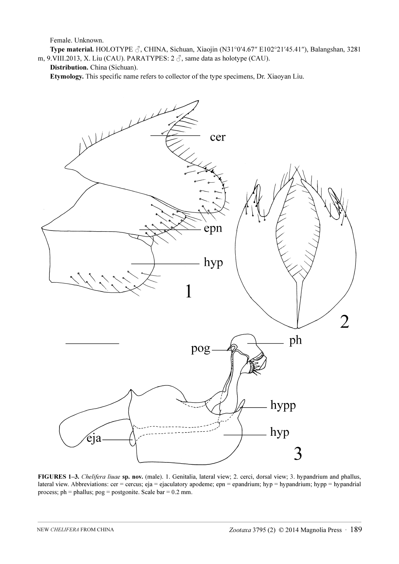Female. Unknown.

Type material. HOLOTYPE ♂, CHINA, Sichuan, Xiaojin (N31°0′4.67″ E102°21′45.41″), Balangshan, 3281 m, 9.VIII.2013, X. Liu (CAU). PARATYPES:  $2 \text{ } \textcircled{}$ , same data as holotype (CAU).

Distribution. China (Sichuan).

Etymology. This specific name refers to collector of the type specimens, Dr. Xiaoyan Liu.



FIGURES 1–3. Chelifera liuae sp. nov. (male). 1. Genitalia, lateral view; 2. cerci, dorsal view; 3. hypandrium and phallus, lateral view. Abbreviations: cer = cercus; eja = ejaculatory apodeme; epn = epandrium; hyp = hypandrium; hypp = hypandrial process;  $ph = phallus$ ;  $pog = postgonite$ . Scale  $bar = 0.2$  mm.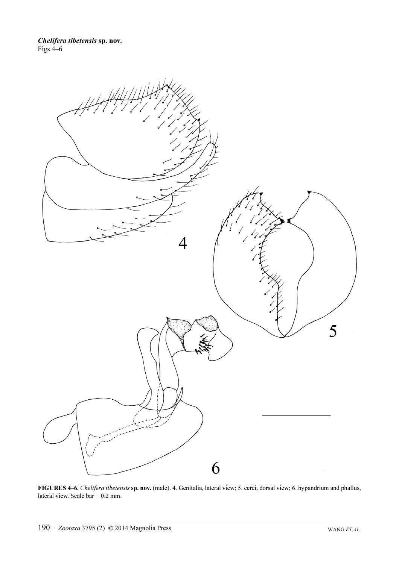

FIGURES 4–6. Chelifera tibetensis sp. nov. (male). 4. Genitalia, lateral view; 5. cerci, dorsal view; 6. hypandrium and phallus, lateral view. Scale  $bar = 0.2$  mm.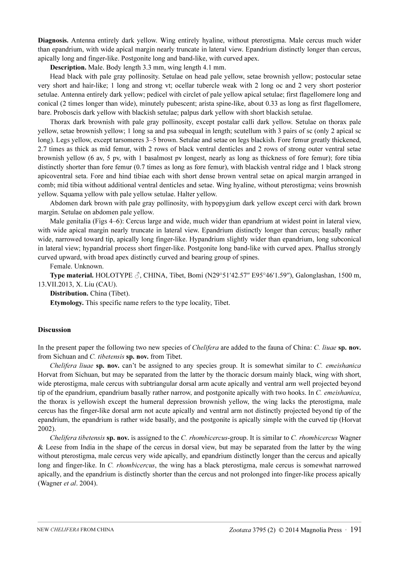Diagnosis. Antenna entirely dark yellow. Wing entirely hyaline, without pterostigma. Male cercus much wider than epandrium, with wide apical margin nearly truncate in lateral view. Epandrium distinctly longer than cercus, apically long and finger-like. Postgonite long and band-like, with curved apex.

Description. Male. Body length 3.3 mm, wing length 4.1 mm.

Head black with pale gray pollinosity. Setulae on head pale yellow, setae brownish yellow; postocular setae very short and hair-like; 1 long and strong vt; ocellar tubercle weak with 2 long oc and 2 very short posterior setulae. Antenna entirely dark yellow; pedicel with circlet of pale yellow apical setulae; first flagellomere long and conical (2 times longer than wide), minutely pubescent; arista spine-like, about 0.33 as long as first flagellomere, bare. Proboscis dark yellow with blackish setulae; palpus dark yellow with short blackish setulae.

Thorax dark brownish with pale gray pollinosity, except postalar calli dark yellow. Setulae on thorax pale yellow, setae brownish yellow; 1 long sa and psa subequal in length; scutellum with 3 pairs of sc (only 2 apical sc long). Legs yellow, except tarsomeres 3–5 brown. Setulae and setae on legs blackish. Fore femur greatly thickened, 2.7 times as thick as mid femur, with 2 rows of black ventral denticles and 2 rows of strong outer ventral setae brownish yellow (6 av, 5 pv, with 1 basalmost pv longest, nearly as long as thickness of fore femur); fore tibia distinctly shorter than fore femur (0.7 times as long as fore femur), with blackish ventral ridge and 1 black strong apicoventral seta. Fore and hind tibiae each with short dense brown ventral setae on apical margin arranged in comb; mid tibia without additional ventral denticles and setae. Wing hyaline, without pterostigma; veins brownish yellow. Squama yellow with pale yellow setulae. Halter yellow.

Abdomen dark brown with pale gray pollinosity, with hypopygium dark yellow except cerci with dark brown margin. Setulae on abdomen pale yellow.

Male genitalia (Figs 4–6): Cercus large and wide, much wider than epandrium at widest point in lateral view, with wide apical margin nearly truncate in lateral view. Epandrium distinctly longer than cercus; basally rather wide, narrowed toward tip, apically long finger-like. Hypandrium slightly wider than epandrium, long subconical in lateral view; hypandrial process short finger-like. Postgonite long band-like with curved apex. Phallus strongly curved upward, with broad apex distinctly curved and bearing group of spines.

Female. Unknown.

Type material. HOLOTYPE  $\beta$ , CHINA, Tibet, Bomi (N29°51'42.57" E95°46'1.59"), Galonglashan, 1500 m, 13.VII.2013, X. Liu (CAU).

Distribution. China (Tibet).

Etymology. This specific name refers to the type locality, Tibet.

## Discussion

In the present paper the following two new species of *Chelifera* are added to the fauna of China: *C. liuae* sp. nov. from Sichuan and C. tibetensis sp. nov. from Tibet.

Chelifera liuae sp. nov. can't be assigned to any species group. It is somewhat similar to  $C$ . *emeishanica* Horvat from Sichuan, but may be separated from the latter by the thoracic dorsum mainly black, wing with short, wide pterostigma, male cercus with subtriangular dorsal arm acute apically and ventral arm well projected beyond tip of the epandrium, epandrium basally rather narrow, and postgonite apically with two hooks. In C. emeishanica, the thorax is yellowish except the humeral depression brownish yellow, the wing lacks the pterostigma, male cercus has the finger-like dorsal arm not acute apically and ventral arm not distinctly projected beyond tip of the epandrium, the epandrium is rather wide basally, and the postgonite is apically simple with the curved tip (Horvat 2002).

Chelifera tibetensis sp. nov. is assigned to the C. rhombicercus-group. It is similar to C. rhombicercus Wagner & Leese from India in the shape of the cercus in dorsal view, but may be separated from the latter by the wing without pterostigma, male cercus very wide apically, and epandrium distinctly longer than the cercus and apically long and finger-like. In C. rhombicercus, the wing has a black pterostigma, male cercus is somewhat narrowed apically, and the epandrium is distinctly shorter than the cercus and not prolonged into finger-like process apically (Wagner et al. 2004).